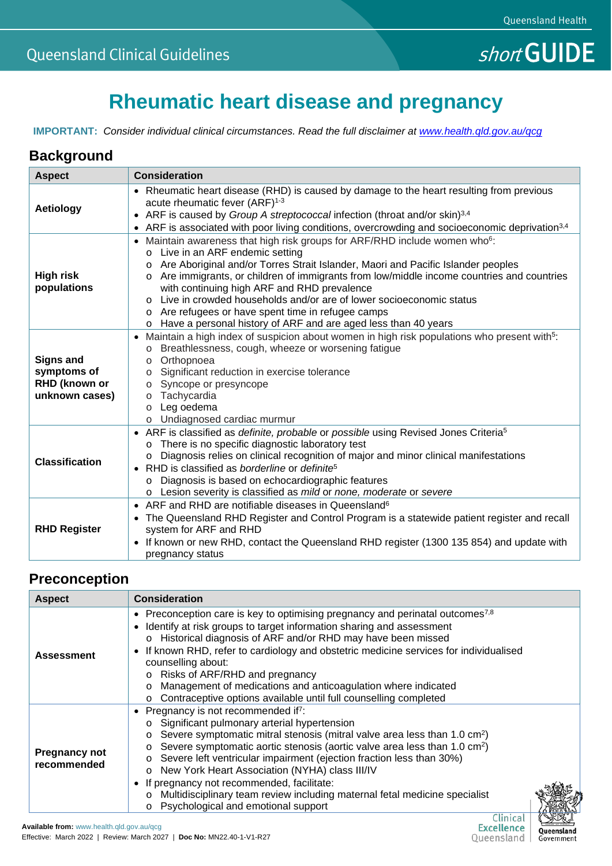# **Rheumatic heart disease and pregnancy**

**IMPORTANT:** *Consider individual clinical circumstances. Read the full disclaimer at [www.health.qld.gov.au/qcg](http://www.health.qld.gov.au/qcg)*

#### **Background**

| <b>Aspect</b>                                                      | <b>Consideration</b>                                                                                                                                                                                                                                                                                                                                                                                                                                                                                                                                                                            |  |  |  |  |  |
|--------------------------------------------------------------------|-------------------------------------------------------------------------------------------------------------------------------------------------------------------------------------------------------------------------------------------------------------------------------------------------------------------------------------------------------------------------------------------------------------------------------------------------------------------------------------------------------------------------------------------------------------------------------------------------|--|--|--|--|--|
| <b>Aetiology</b>                                                   | • Rheumatic heart disease (RHD) is caused by damage to the heart resulting from previous<br>acute rheumatic fever (ARF) <sup>1-3</sup><br>ARF is caused by Group A streptococcal infection (throat and/or skin) <sup>3,4</sup><br>$\bullet$<br>ARF is associated with poor living conditions, overcrowding and socioeconomic deprivation <sup>3,4</sup>                                                                                                                                                                                                                                         |  |  |  |  |  |
| <b>High risk</b><br>populations                                    | Maintain awareness that high risk groups for ARF/RHD include women who <sup>6</sup> :<br>Live in an ARF endemic setting<br>Are Aboriginal and/or Torres Strait Islander, Maori and Pacific Islander peoples<br>$\circ$<br>Are immigrants, or children of immigrants from low/middle income countries and countries<br>$\circ$<br>with continuing high ARF and RHD prevalence<br>Live in crowded households and/or are of lower socioeconomic status<br>Are refugees or have spent time in refugee camps<br>$\circ$<br>Have a personal history of ARF and are aged less than 40 years<br>$\circ$ |  |  |  |  |  |
| <b>Signs and</b><br>symptoms of<br>RHD (known or<br>unknown cases) | Maintain a high index of suspicion about women in high risk populations who present with <sup>5</sup> :<br>$\bullet$<br>Breathlessness, cough, wheeze or worsening fatigue<br>$\circ$<br>Orthopnoea<br>$\circ$<br>Significant reduction in exercise tolerance<br>O<br>Syncope or presyncope<br>$\circ$<br>Tachycardia<br>$\circ$<br>Leg oedema<br>$\circ$<br>Undiagnosed cardiac murmur<br>$\circ$                                                                                                                                                                                              |  |  |  |  |  |
| <b>Classification</b>                                              | ARF is classified as definite, probable or possible using Revised Jones Criteria <sup>5</sup><br>$\bullet$<br>There is no specific diagnostic laboratory test<br>$\circ$<br>Diagnosis relies on clinical recognition of major and minor clinical manifestations<br>RHD is classified as borderline or definite <sup>5</sup><br>$\bullet$<br>Diagnosis is based on echocardiographic features<br>Lesion severity is classified as mild or none, moderate or severe                                                                                                                               |  |  |  |  |  |
| <b>RHD Register</b>                                                | ARF and RHD are notifiable diseases in Queensland <sup>6</sup><br>$\bullet$<br>The Queensland RHD Register and Control Program is a statewide patient register and recall<br>$\bullet$<br>system for ARF and RHD<br>If known or new RHD, contact the Queensland RHD register (1300 135 854) and update with<br>$\bullet$<br>pregnancy status                                                                                                                                                                                                                                                    |  |  |  |  |  |

#### **Preconception**

| <b>Aspect</b>                       | <b>Consideration</b>                                                                                                                                                                                                                                                                                                                                                                                                                                                                                                                                                                                                         |  |  |  |
|-------------------------------------|------------------------------------------------------------------------------------------------------------------------------------------------------------------------------------------------------------------------------------------------------------------------------------------------------------------------------------------------------------------------------------------------------------------------------------------------------------------------------------------------------------------------------------------------------------------------------------------------------------------------------|--|--|--|
| <b>Assessment</b>                   | • Preconception care is key to optimising pregnancy and perinatal outcomes <sup>7,8</sup><br>Identify at risk groups to target information sharing and assessment<br>o Historical diagnosis of ARF and/or RHD may have been missed<br>If known RHD, refer to cardiology and obstetric medicine services for individualised<br>counselling about:<br>Risks of ARF/RHD and pregnancy<br>Management of medications and anticoagulation where indicated<br>Contraceptive options available until full counselling completed                                                                                                      |  |  |  |
| <b>Pregnancy not</b><br>recommended | Pregnancy is not recommended if <sup>7</sup> :<br>Significant pulmonary arterial hypertension<br>$\circ$<br>Severe symptomatic mitral stenosis (mitral valve area less than 1.0 cm <sup>2</sup> )<br>Severe symptomatic aortic stenosis (aortic valve area less than 1.0 cm <sup>2</sup> )<br>O<br>Severe left ventricular impairment (ejection fraction less than 30%)<br>$\circ$<br>New York Heart Association (NYHA) class III/IV<br>$\circ$<br>If pregnancy not recommended, facilitate:<br>Multidisciplinary team review including maternal fetal medicine specialist<br>$\circ$<br>Psychological and emotional support |  |  |  |

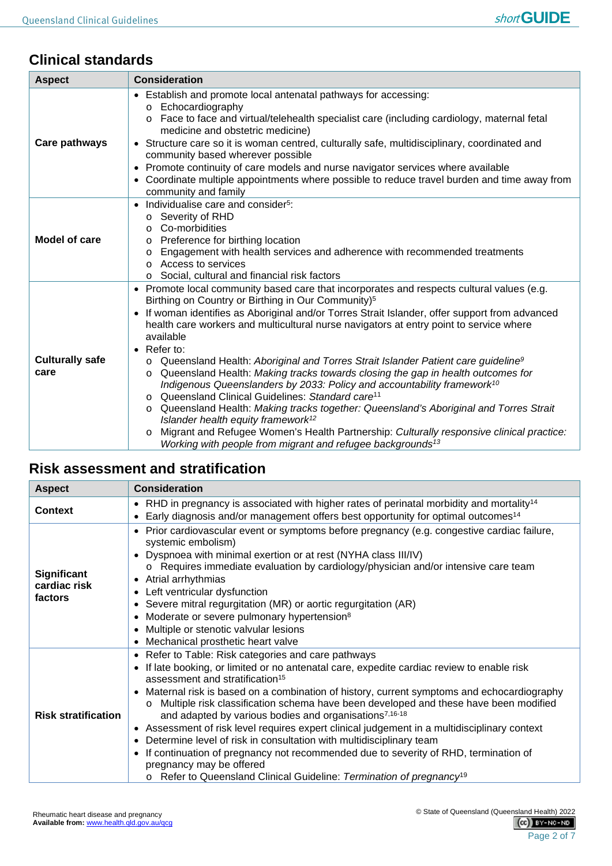#### **Clinical standards**

| <b>Aspect</b>                  | <b>Consideration</b>                                                                                                                                                                                                                                                                                                                                                                                                                                                                                                                                                                                                                                                                                                                                                                                                                                                                                                               |  |  |  |  |  |  |
|--------------------------------|------------------------------------------------------------------------------------------------------------------------------------------------------------------------------------------------------------------------------------------------------------------------------------------------------------------------------------------------------------------------------------------------------------------------------------------------------------------------------------------------------------------------------------------------------------------------------------------------------------------------------------------------------------------------------------------------------------------------------------------------------------------------------------------------------------------------------------------------------------------------------------------------------------------------------------|--|--|--|--|--|--|
| Care pathways                  | • Establish and promote local antenatal pathways for accessing:<br>Echocardiography<br>$\circ$<br>Face to face and virtual/telehealth specialist care (including cardiology, maternal fetal<br>$\circ$<br>medicine and obstetric medicine)<br>• Structure care so it is woman centred, culturally safe, multidisciplinary, coordinated and<br>community based wherever possible<br>Promote continuity of care models and nurse navigator services where available<br>$\bullet$<br>Coordinate multiple appointments where possible to reduce travel burden and time away from<br>community and family                                                                                                                                                                                                                                                                                                                               |  |  |  |  |  |  |
| Model of care                  | Individualise care and consider <sup>5</sup> :<br>Severity of RHD<br>$\circ$<br>Co-morbidities<br>$\Omega$<br>Preference for birthing location<br>O<br>Engagement with health services and adherence with recommended treatments<br>O<br>Access to services<br>$\circ$<br>Social, cultural and financial risk factors<br>$\circ$                                                                                                                                                                                                                                                                                                                                                                                                                                                                                                                                                                                                   |  |  |  |  |  |  |
| <b>Culturally safe</b><br>care | Promote local community based care that incorporates and respects cultural values (e.g.<br>$\bullet$<br>Birthing on Country or Birthing in Our Community) <sup>5</sup><br>If woman identifies as Aboriginal and/or Torres Strait Islander, offer support from advanced<br>$\bullet$<br>health care workers and multicultural nurse navigators at entry point to service where<br>available<br>Refer to:<br>$\bullet$<br>Queensland Health: Aboriginal and Torres Strait Islander Patient care guideline <sup>9</sup><br>$\circ$<br>Queensland Health: Making tracks towards closing the gap in health outcomes for<br>O<br>Indigenous Queenslanders by 2033: Policy and accountability framework <sup>10</sup><br>Queensland Clinical Guidelines: Standard care <sup>11</sup><br>Queensland Health: Making tracks together: Queensland's Aboriginal and Torres Strait<br>$\circ$<br>Islander health equity framework <sup>12</sup> |  |  |  |  |  |  |

o Migrant and Refugee Women's Health Partnership: *Culturally responsive clinical practice: Working with people from migrant and refugee backgrounds13*

## **Risk assessment and stratification**

| <b>Aspect</b>                                 | <b>Consideration</b>                                                                                                                                                                                                                                                                                                                                                                                                                                                                                                                                                                                                                                                                                                                                                                                                                            |  |  |  |  |  |
|-----------------------------------------------|-------------------------------------------------------------------------------------------------------------------------------------------------------------------------------------------------------------------------------------------------------------------------------------------------------------------------------------------------------------------------------------------------------------------------------------------------------------------------------------------------------------------------------------------------------------------------------------------------------------------------------------------------------------------------------------------------------------------------------------------------------------------------------------------------------------------------------------------------|--|--|--|--|--|
| <b>Context</b>                                | • RHD in pregnancy is associated with higher rates of perinatal morbidity and mortality <sup>14</sup><br>Early diagnosis and/or management offers best opportunity for optimal outcomes <sup>14</sup>                                                                                                                                                                                                                                                                                                                                                                                                                                                                                                                                                                                                                                           |  |  |  |  |  |
| <b>Significant</b><br>cardiac risk<br>factors | • Prior cardiovascular event or symptoms before pregnancy (e.g. congestive cardiac failure,<br>systemic embolism)<br>Dyspnoea with minimal exertion or at rest (NYHA class III/IV)<br>o Requires immediate evaluation by cardiology/physician and/or intensive care team<br>Atrial arrhythmias<br>Left ventricular dysfunction<br>• Severe mitral regurgitation (MR) or aortic regurgitation (AR)<br>Moderate or severe pulmonary hypertension <sup>8</sup><br>Multiple or stenotic valvular lesions<br>Mechanical prosthetic heart valve                                                                                                                                                                                                                                                                                                       |  |  |  |  |  |
| <b>Risk stratification</b>                    | Refer to Table: Risk categories and care pathways<br>If late booking, or limited or no antenatal care, expedite cardiac review to enable risk<br>assessment and stratification <sup>15</sup><br>Maternal risk is based on a combination of history, current symptoms and echocardiography<br>Multiple risk classification schema have been developed and these have been modified<br>$\Omega$<br>and adapted by various bodies and organisations <sup>7,16-18</sup><br>• Assessment of risk level requires expert clinical judgement in a multidisciplinary context<br>Determine level of risk in consultation with multidisciplinary team<br>If continuation of pregnancy not recommended due to severity of RHD, termination of<br>pregnancy may be offered<br>Refer to Queensland Clinical Guideline: Termination of pregnancy <sup>19</sup> |  |  |  |  |  |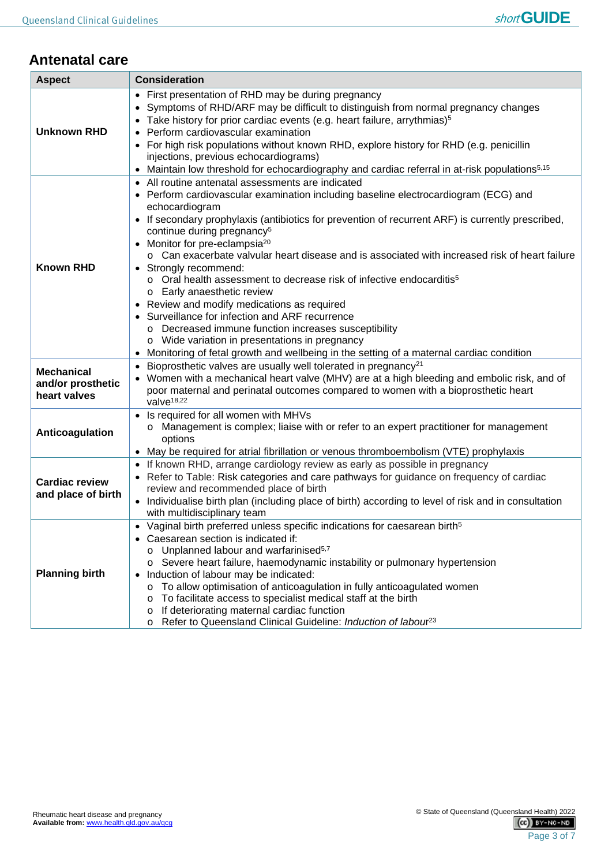# **Antenatal care**

| <b>Aspect</b>                                          | <b>Consideration</b>                                                                                                                                                                                                                                                                                                                                                                                                                                                                                                                                                                                                                                                                                                                                                                                                                                                                                                                                                                                                                                                                                                                                                                               |  |  |  |  |
|--------------------------------------------------------|----------------------------------------------------------------------------------------------------------------------------------------------------------------------------------------------------------------------------------------------------------------------------------------------------------------------------------------------------------------------------------------------------------------------------------------------------------------------------------------------------------------------------------------------------------------------------------------------------------------------------------------------------------------------------------------------------------------------------------------------------------------------------------------------------------------------------------------------------------------------------------------------------------------------------------------------------------------------------------------------------------------------------------------------------------------------------------------------------------------------------------------------------------------------------------------------------|--|--|--|--|
| <b>Unknown RHD</b>                                     | • First presentation of RHD may be during pregnancy<br>Symptoms of RHD/ARF may be difficult to distinguish from normal pregnancy changes<br>Take history for prior cardiac events (e.g. heart failure, arrythmias) <sup>5</sup><br>Perform cardiovascular examination<br>For high risk populations without known RHD, explore history for RHD (e.g. penicillin<br>injections, previous echocardiograms)<br>Maintain low threshold for echocardiography and cardiac referral in at-risk populations <sup>5,15</sup>                                                                                                                                                                                                                                                                                                                                                                                                                                                                                                                                                                                                                                                                                 |  |  |  |  |
| <b>Known RHD</b>                                       | • All routine antenatal assessments are indicated<br>• Perform cardiovascular examination including baseline electrocardiogram (ECG) and<br>echocardiogram<br>• If secondary prophylaxis (antibiotics for prevention of recurrent ARF) is currently prescribed,<br>continue during pregnancy <sup>5</sup><br>• Monitor for pre-eclampsia <sup>20</sup><br>o Can exacerbate valvular heart disease and is associated with increased risk of heart failure<br>• Strongly recommend:<br>o Oral health assessment to decrease risk of infective endocarditis <sup>5</sup><br>o Early anaesthetic review<br>Review and modify medications as required<br>Surveillance for infection and ARF recurrence<br>o Decreased immune function increases susceptibility<br>o Wide variation in presentations in pregnancy<br>Monitoring of fetal growth and wellbeing in the setting of a maternal cardiac condition<br>Bioprosthetic valves are usually well tolerated in pregnancy <sup>21</sup><br>• Women with a mechanical heart valve (MHV) are at a high bleeding and embolic risk, and of<br>poor maternal and perinatal outcomes compared to women with a bioprosthetic heart<br>valve <sup>18,22</sup> |  |  |  |  |
| <b>Mechanical</b><br>and/or prosthetic<br>heart valves |                                                                                                                                                                                                                                                                                                                                                                                                                                                                                                                                                                                                                                                                                                                                                                                                                                                                                                                                                                                                                                                                                                                                                                                                    |  |  |  |  |
| Anticoagulation                                        | Is required for all women with MHVs<br>o Management is complex; liaise with or refer to an expert practitioner for management<br>options<br>May be required for atrial fibrillation or venous thromboembolism (VTE) prophylaxis                                                                                                                                                                                                                                                                                                                                                                                                                                                                                                                                                                                                                                                                                                                                                                                                                                                                                                                                                                    |  |  |  |  |
| <b>Cardiac review</b><br>and place of birth            | If known RHD, arrange cardiology review as early as possible in pregnancy<br>Refer to Table: Risk categories and care pathways for guidance on frequency of cardiac<br>review and recommended place of birth<br>• Individualise birth plan (including place of birth) according to level of risk and in consultation<br>with multidisciplinary team                                                                                                                                                                                                                                                                                                                                                                                                                                                                                                                                                                                                                                                                                                                                                                                                                                                |  |  |  |  |
| <b>Planning birth</b>                                  | • Vaginal birth preferred unless specific indications for caesarean birth <sup>5</sup><br>Caesarean section is indicated if:<br>Unplanned labour and warfarinised <sup>5,7</sup><br>O<br>o Severe heart failure, haemodynamic instability or pulmonary hypertension<br>Induction of labour may be indicated:<br>$\bullet$<br>To allow optimisation of anticoagulation in fully anticoagulated women<br>O<br>To facilitate access to specialist medical staff at the birth<br>O<br>If deteriorating maternal cardiac function<br>O<br>Refer to Queensland Clinical Guideline: Induction of labour <sup>23</sup><br>O                                                                                                                                                                                                                                                                                                                                                                                                                                                                                                                                                                                |  |  |  |  |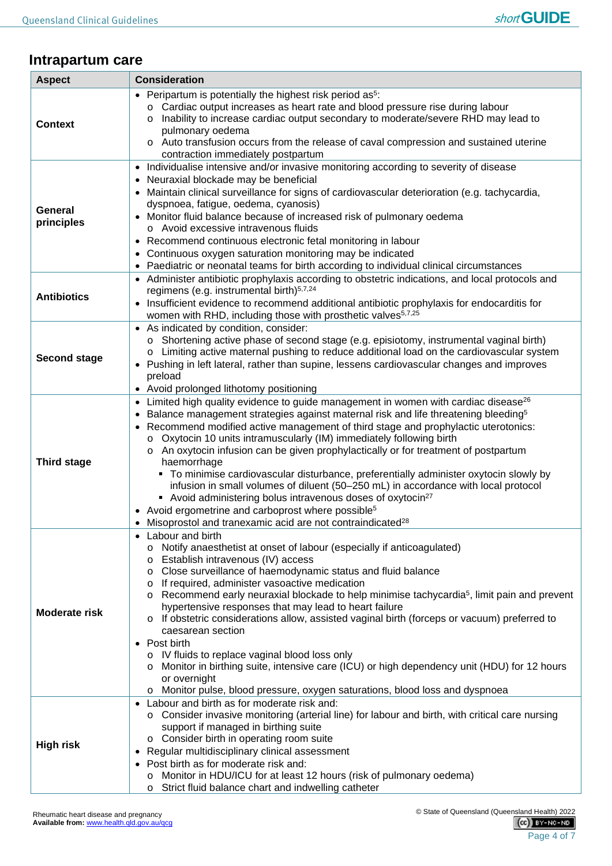#### **Intrapartum care**

| <b>Aspect</b>         | <b>Consideration</b>                                                                                                                                                                                                                        |
|-----------------------|---------------------------------------------------------------------------------------------------------------------------------------------------------------------------------------------------------------------------------------------|
|                       | • Peripartum is potentially the highest risk period as <sup>5</sup> :<br>o Cardiac output increases as heart rate and blood pressure rise during labour                                                                                     |
| <b>Context</b>        | Inability to increase cardiac output secondary to moderate/severe RHD may lead to<br>$\circ$<br>pulmonary oedema                                                                                                                            |
|                       | o Auto transfusion occurs from the release of caval compression and sustained uterine<br>contraction immediately postpartum                                                                                                                 |
|                       | Individualise intensive and/or invasive monitoring according to severity of disease<br>$\bullet$<br>• Neuraxial blockade may be beneficial<br>• Maintain clinical surveillance for signs of cardiovascular deterioration (e.g. tachycardia, |
| General<br>principles | dyspnoea, fatigue, oedema, cyanosis)<br>• Monitor fluid balance because of increased risk of pulmonary oedema<br>o Avoid excessive intravenous fluids                                                                                       |
|                       | • Recommend continuous electronic fetal monitoring in labour<br>• Continuous oxygen saturation monitoring may be indicated                                                                                                                  |
|                       | Paediatric or neonatal teams for birth according to individual clinical circumstances<br>• Administer antibiotic prophylaxis according to obstetric indications, and local protocols and                                                    |
| <b>Antibiotics</b>    | regimens (e.g. instrumental birth) <sup>5,7,24</sup>                                                                                                                                                                                        |
|                       | • Insufficient evidence to recommend additional antibiotic prophylaxis for endocarditis for<br>women with RHD, including those with prosthetic valves <sup>5,7,25</sup>                                                                     |
|                       | • As indicated by condition, consider:<br>Shortening active phase of second stage (e.g. episiotomy, instrumental vaginal birth)                                                                                                             |
|                       | Limiting active maternal pushing to reduce additional load on the cardiovascular system                                                                                                                                                     |
| <b>Second stage</b>   | • Pushing in left lateral, rather than supine, lessens cardiovascular changes and improves<br>preload                                                                                                                                       |
|                       | • Avoid prolonged lithotomy positioning                                                                                                                                                                                                     |
|                       | • Limited high quality evidence to guide management in women with cardiac disease <sup>26</sup><br>• Balance management strategies against maternal risk and life threatening bleeding <sup>5</sup>                                         |
|                       | • Recommend modified active management of third stage and prophylactic uterotonics:                                                                                                                                                         |
|                       | Oxytocin 10 units intramuscularly (IM) immediately following birth                                                                                                                                                                          |
| <b>Third stage</b>    | An oxytocin infusion can be given prophylactically or for treatment of postpartum<br>$\circ$<br>haemorrhage                                                                                                                                 |
|                       | • To minimise cardiovascular disturbance, preferentially administer oxytocin slowly by                                                                                                                                                      |
|                       | infusion in small volumes of diluent (50-250 mL) in accordance with local protocol                                                                                                                                                          |
|                       | Avoid administering bolus intravenous doses of oxytocin <sup>27</sup><br>٠                                                                                                                                                                  |
|                       | • Avoid ergometrine and carboprost where possible <sup>5</sup><br>• Misoprostol and tranexamic acid are not contraindicated <sup>28</sup>                                                                                                   |
|                       | Labour and birth                                                                                                                                                                                                                            |
|                       | Notify anaesthetist at onset of labour (especially if anticoagulated)                                                                                                                                                                       |
|                       | Establish intravenous (IV) access<br>$\circ$<br>Close surveillance of haemodynamic status and fluid balance                                                                                                                                 |
|                       | O<br>If required, administer vasoactive medication<br>O                                                                                                                                                                                     |
|                       | Recommend early neuraxial blockade to help minimise tachycardia <sup>5</sup> , limit pain and prevent<br>$\circ$                                                                                                                            |
| <b>Moderate risk</b>  | hypertensive responses that may lead to heart failure                                                                                                                                                                                       |
|                       | o If obstetric considerations allow, assisted vaginal birth (forceps or vacuum) preferred to<br>caesarean section                                                                                                                           |
|                       | • Post birth                                                                                                                                                                                                                                |
|                       | o IV fluids to replace vaginal blood loss only                                                                                                                                                                                              |
|                       | Monitor in birthing suite, intensive care (ICU) or high dependency unit (HDU) for 12 hours<br>or overnight                                                                                                                                  |
|                       | Monitor pulse, blood pressure, oxygen saturations, blood loss and dyspnoea                                                                                                                                                                  |
|                       | Labour and birth as for moderate risk and:                                                                                                                                                                                                  |
|                       | ○ Consider invasive monitoring (arterial line) for labour and birth, with critical care nursing<br>support if managed in birthing suite                                                                                                     |
|                       | o Consider birth in operating room suite                                                                                                                                                                                                    |
| <b>High risk</b>      | Regular multidisciplinary clinical assessment                                                                                                                                                                                               |
|                       | Post birth as for moderate risk and:                                                                                                                                                                                                        |
|                       | Monitor in HDU/ICU for at least 12 hours (risk of pulmonary oedema)<br>Strict fluid balance chart and indwelling catheter                                                                                                                   |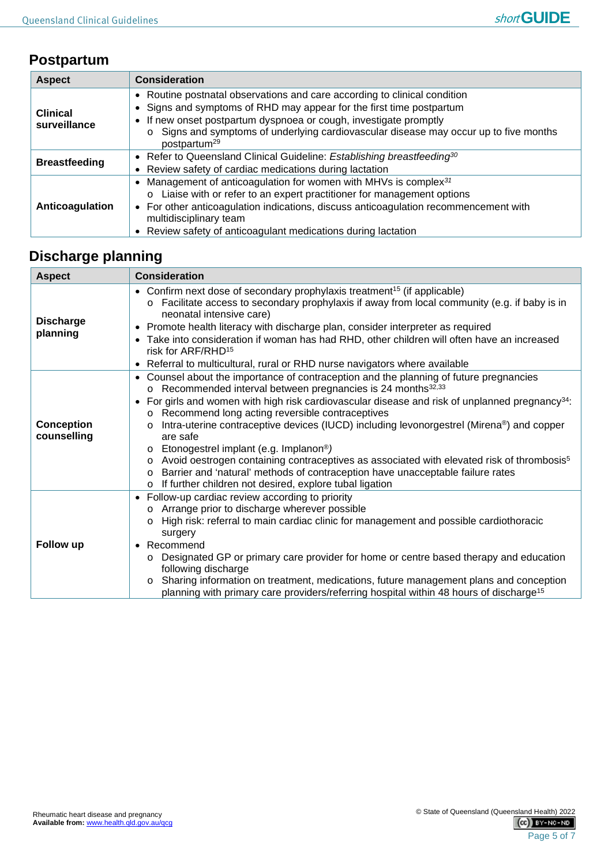# **Postpartum**

| <b>Aspect</b>                   | <b>Consideration</b>                                                                                                                                                                                                                                                                                                                               |  |  |  |  |
|---------------------------------|----------------------------------------------------------------------------------------------------------------------------------------------------------------------------------------------------------------------------------------------------------------------------------------------------------------------------------------------------|--|--|--|--|
| <b>Clinical</b><br>surveillance | • Routine postnatal observations and care according to clinical condition<br>Signs and symptoms of RHD may appear for the first time postpartum<br>If new onset postpartum dyspnoea or cough, investigate promptly<br>Signs and symptoms of underlying cardiovascular disease may occur up to five months<br>postpartum <sup>29</sup>              |  |  |  |  |
| <b>Breastfeeding</b>            | • Refer to Queensland Clinical Guideline: Establishing breastfeeding <sup>30</sup><br>Review safety of cardiac medications during lactation<br>$\bullet$                                                                                                                                                                                           |  |  |  |  |
| Anticoagulation                 | Management of anticoagulation for women with MHVs is complex <sup>31</sup><br>Liaise with or refer to an expert practitioner for management options<br>$\Omega$<br>• For other anticoagulation indications, discuss anticoagulation recommencement with<br>multidisciplinary team<br>• Review safety of anticoagulant medications during lactation |  |  |  |  |

# **Discharge planning**

| <b>Aspect</b>                    | <b>Consideration</b>                                                                                                                                                                                                                                                                                                                                                                                                                                                                                                                                                                                                                                                                                                                                                                                                                     |  |  |  |  |  |
|----------------------------------|------------------------------------------------------------------------------------------------------------------------------------------------------------------------------------------------------------------------------------------------------------------------------------------------------------------------------------------------------------------------------------------------------------------------------------------------------------------------------------------------------------------------------------------------------------------------------------------------------------------------------------------------------------------------------------------------------------------------------------------------------------------------------------------------------------------------------------------|--|--|--|--|--|
| <b>Discharge</b><br>planning     | • Confirm next dose of secondary prophylaxis treatment <sup>15</sup> (if applicable)<br>$\circ$ Facilitate access to secondary prophylaxis if away from local community (e.g. if baby is in<br>neonatal intensive care)<br>Promote health literacy with discharge plan, consider interpreter as required<br>٠<br>Take into consideration if woman has had RHD, other children will often have an increased<br>$\bullet$<br>risk for ARF/RHD <sup>15</sup><br>Referral to multicultural, rural or RHD nurse navigators where available                                                                                                                                                                                                                                                                                                    |  |  |  |  |  |
| <b>Conception</b><br>counselling | Counsel about the importance of contraception and the planning of future pregnancies<br>٠<br>o Recommended interval between pregnancies is 24 months <sup>32,33</sup><br>For girls and women with high risk cardiovascular disease and risk of unplanned pregnancy <sup>34</sup> :<br>$\bullet$<br>Recommend long acting reversible contraceptives<br>$\circ$<br>Intra-uterine contraceptive devices (IUCD) including levonorgestrel (Mirena®) and copper<br>$\circ$<br>are safe<br>Etonogestrel implant (e.g. Implanon <sup>®</sup> )<br>$\circ$<br>Avoid oestrogen containing contraceptives as associated with elevated risk of thrombosis <sup>5</sup><br>$\circ$<br>Barrier and 'natural' methods of contraception have unacceptable failure rates<br>$\circ$<br>If further children not desired, explore tubal ligation<br>$\circ$ |  |  |  |  |  |
| Follow up                        | Follow-up cardiac review according to priority<br>Arrange prior to discharge wherever possible<br>$\circ$<br>High risk: referral to main cardiac clinic for management and possible cardiothoracic<br>$\circ$<br>surgery<br>Recommend<br>$\bullet$<br>Designated GP or primary care provider for home or centre based therapy and education<br>$\circ$<br>following discharge<br>Sharing information on treatment, medications, future management plans and conception<br>$\circ$<br>planning with primary care providers/referring hospital within 48 hours of discharge <sup>15</sup>                                                                                                                                                                                                                                                  |  |  |  |  |  |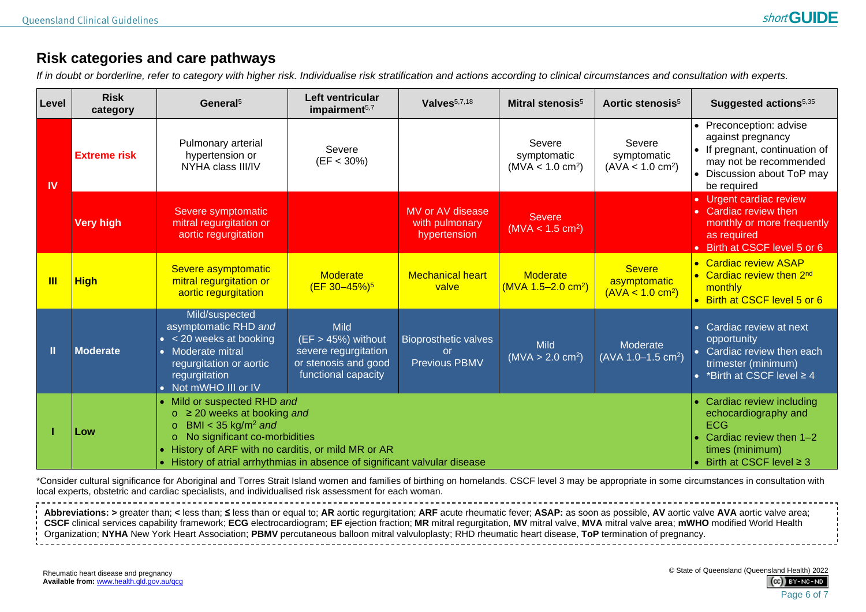# **Risk categories and care pathways**

*If in doubt or borderline, refer to category with higher risk. Individualise risk stratification and actions according to clinical circumstances and consultation with experts.*

| Level     | <b>Risk</b><br>category                                                                                                                                                                                                                                                                                                | General <sup>5</sup>                                                                                                                                                                     | Left ventricular<br>impairment <sup>5,7</sup>                                                              | Valves <sup>5,7,18</sup>                                  | Mitral stenosis <sup>5</sup>                          | Aortic stenosis <sup>5</sup>                                                                                                                 | Suggested actions <sup>5,35</sup>                                                                                                                 |
|-----------|------------------------------------------------------------------------------------------------------------------------------------------------------------------------------------------------------------------------------------------------------------------------------------------------------------------------|------------------------------------------------------------------------------------------------------------------------------------------------------------------------------------------|------------------------------------------------------------------------------------------------------------|-----------------------------------------------------------|-------------------------------------------------------|----------------------------------------------------------------------------------------------------------------------------------------------|---------------------------------------------------------------------------------------------------------------------------------------------------|
| <b>IV</b> | <b>Extreme risk</b>                                                                                                                                                                                                                                                                                                    | Pulmonary arterial<br>hypertension or<br>NYHA class III/IV                                                                                                                               | Severe<br>$(EF < 30\%)$                                                                                    |                                                           | Severe<br>symptomatic<br>(MVA < 1.0 cm <sup>2</sup> ) | Severe<br>symptomatic<br>(AVA < 1.0 cm <sup>2</sup> )                                                                                        | • Preconception: advise<br>against pregnancy<br>If pregnant, continuation of<br>may not be recommended<br>Discussion about ToP may<br>be required |
|           | <b>Very high</b>                                                                                                                                                                                                                                                                                                       | Severe symptomatic<br>mitral regurgitation or<br>aortic regurgitation                                                                                                                    |                                                                                                            | MV or AV disease<br>with pulmonary<br>hypertension        | <b>Severe</b><br>(MVA < 1.5 cm <sup>2</sup> )         |                                                                                                                                              | • Urgent cardiac review<br>Cardiac review then<br>monthly or more frequently<br>as required<br>Birth at CSCF level 5 or 6                         |
| Ш         | <b>High</b>                                                                                                                                                                                                                                                                                                            | Severe asymptomatic<br>mitral regurgitation or<br>aortic regurgitation                                                                                                                   | <b>Moderate</b><br>$(EF 30 - 45%)$ <sup>5</sup>                                                            | <b>Mechanical heart</b><br>valve                          | <b>Moderate</b><br>$(MVA 1.5-2.0 cm2)$                | <b>Severe</b><br>asymptomatic<br>(AVA < 1.0 cm <sup>2</sup> )                                                                                | <b>Cardiac review ASAP</b><br>$\bullet$<br>• Cardiac review then 2nd<br>monthly<br>• Birth at CSCF level 5 or 6                                   |
| П         | <b>Moderate</b>                                                                                                                                                                                                                                                                                                        | Mild/suspected<br>asymptomatic RHD and<br>$\bullet$ < 20 weeks at booking<br>Moderate mitral<br>$\bullet$<br>regurgitation or aortic<br>regurgitation<br>Not mWHO III or IV<br>$\bullet$ | <b>Mild</b><br>$(EF > 45%)$ without<br>severe regurgitation<br>or stenosis and good<br>functional capacity | <b>Bioprosthetic valves</b><br>or<br><b>Previous PBMV</b> | <b>Mild</b><br>(MVA > 2.0 cm <sup>2</sup> )           | Moderate<br>(AVA 1.0-1.5 cm <sup>2</sup> )                                                                                                   | Cardiac review at next<br>$\bullet$<br>opportunity<br>Cardiac review then each<br>trimester (minimum)<br>*Birth at CSCF level ≥ 4                 |
|           | • Mild or suspected RHD and<br>$\geq$ 20 weeks at booking and<br>$\circ$<br>BMI < 35 kg/m <sup>2</sup> and<br>$\circ$<br>Low<br>No significant co-morbidities<br>$\circ$<br>History of ARF with no carditis, or mild MR or AR<br>History of atrial arrhythmias in absence of significant valvular disease<br>$\bullet$ |                                                                                                                                                                                          |                                                                                                            |                                                           |                                                       | Cardiac review including<br>echocardiography and<br><b>ECG</b><br>Cardiac review then 1-2<br>times (minimum)<br>Birth at CSCF level $\geq$ 3 |                                                                                                                                                   |

<span id="page-5-0"></span>\*Consider cultural significance for Aboriginal and Torres Strait Island women and families of birthing on homelands. CSCF level 3 may be appropriate in some circumstances in consultation with local experts, obstetric and cardiac specialists, and individualised risk assessment for each woman.

Abbreviations: > greater than: < less than: ≤ less than or equal to: AR aortic requrgitation: ARF acute rheumatic fever: ASAP: as soon as possible. AV aortic valve AVA aortic valve area: CSCF clinical services capability framework; ECG electrocardiogram; EF ejection fraction; MR mitral regurgitation, MV mitral valve, MVA mitral valve area; mWHO modified World Health Organization; **NYHA** New York Heart Association; **PBMV** percutaneous balloon mitral valvuloplasty; RHD rheumatic heart disease, **ToP** termination of pregnancy.

© State of Queensland (Queensland Health) 2022